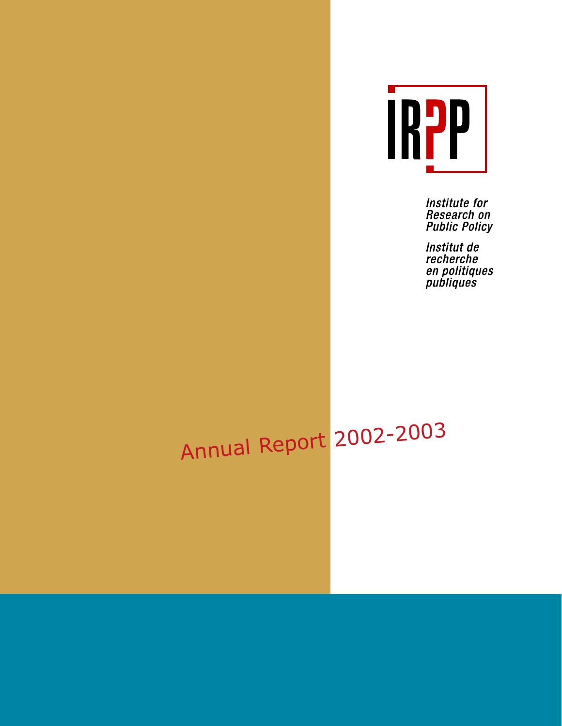

Institute for Research on **Public Policy** 

Institut de recherche en politiques<br>publiques

# Annual Report 2002-2003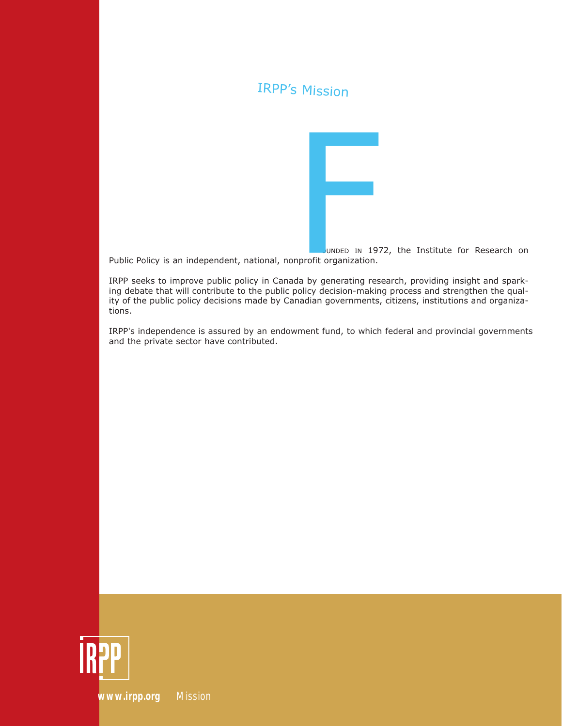### IRPP's Mission



OUNDED IN 1972, the Institute for Research on Public Policy is an independent, national, nonprofit organization.

IRPP seeks to improve public policy in Canada by generating research, providing insight and sparking debate that will contribute to the public policy decision-making process and strengthen the quality of the public policy decisions made by Canadian governments, citizens, institutions and organizations.

IRPP's independence is assured by an endowment fund, to which federal and provincial governments and the private sector have contributed.



*[www.irpp.org](http://irpp.org) Mission*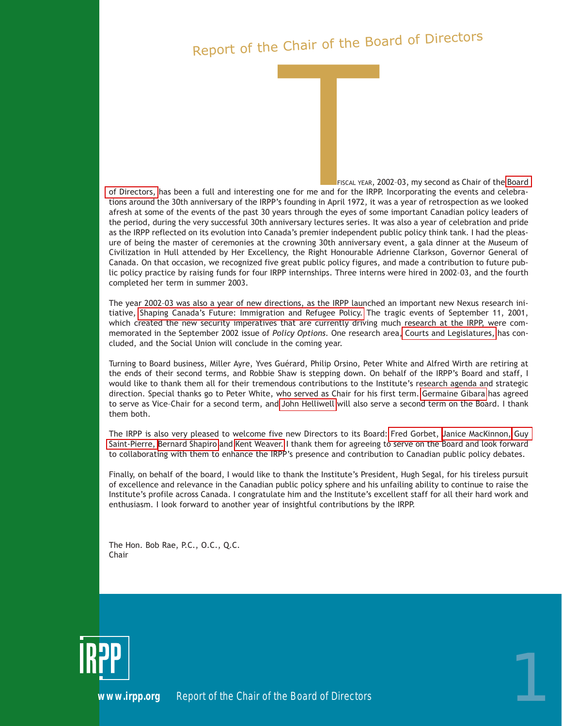# Report of the Chair of the Board of Directors

HE FISCAL YEAR, 2002–03, my second as Chair of the [Board](http://www.irpp.org/about/ab_board.htm) [of Directors,](http://www.irpp.org/about/ab_board.htm) has been a full and interesting one for me and for the IRPP. Incorporating the events and celebrations around the 30th anniversary of the IRPP's founding in April 1972, it was a year of retrospection as we looked afresh at some of the events of the past 30 years through the eyes of some important Canadian policy leaders of the period, during the very successful 30th anniversary lectures series. It was also a year of celebration and pride as the IRPP reflected on its evolution into Canada's premier independent public policy think tank. I had the pleasure of being the master of ceremonies at the crowning 30th anniversary event, a gala dinner at the Museum of HE FISCA<br>
THE FISCA<br>
THE FISCA<br>
THE FISCA<br>
THE FISCA<br>
THE FISCA<br>
THE FISCA<br>
THE FISCA<br>
THE FISCA<br>
THE FISCA<br>
THE FISCA<br>
THE FISCA<br>
THE FISCA<br>
THE FISCA<br>
THE FISCA<br>
THE FISCA<br>
THE FISCA<br>
THE FISCA<br>
THE FISCA<br>
THE FISCA<br>
THE

Civilization in Hull attended by Her Excellency, the Right Honourable Adrienne Clarkson, Governor General of Canada. On that occasion, we recognized five great public policy figures, and made a contribution to future public policy practice by raising funds for four IRPP internships. Three interns were hired in 2002–03, and the fourth completed her term in summer 2003.

The year 2002–03 was also a year of new directions, as the IRPP launched an important new Nexus research initiative, [Shaping Canada's Future: Immigration and Refugee Policy.](http://www.irpp.org/research/re_immig.asp) The tragic events of September 11, 2001, which created the new security imperatives that are currently driving much research at the IRPP, were commemorated in the September 2002 issue of *Policy Options.* One research area[, Courts and Legislatures,](http://www.irpp.org/research/re_cl.asp) has concluded, and the Social Union will conclude in the coming year.

Turning to Board business, Miller Ayre, Yves Guérard, Philip Orsino, Peter White and Alfred Wirth are retiring at the ends of their second terms, and Robbie Shaw is stepping down. On behalf of the IRPP's Board and staff, I would like to thank them all for their tremendous contributions to the Institute's research agenda and strategic direction. Special thanks go to Peter White, who served as Chair for his first term. [Germaine Gibara](http://www.irpp.org/about/gibara.htm) has agreed to serve as Vice–Chair for a second term, and [John Helliwell](http://www.irpp.org/about/helliwell.htm) will also serve a second term on the Board. I thank them both.

The IRPP is also very pleased to welcome five new Directors to its Board: [Fred Gorbet,](http://www.irpp.org/about/gorbet.htm) [Janice MacKinnon,](http://www.irpp.org/about/mackinnon.htm) [Guy](http://www.irpp.org/about/stpierre.htm) [Saint-Pierre,](http://www.irpp.org/about/stpierre.htm) [Bernard Shapiro](http://www.irpp.org/about/shapiro.htm) and [Kent Weaver.](http://www.irpp.org/about/weaver.htm) I thank them for agreeing to serve on the Board and look forward to collaborating with them to enhance the IRPP's presence and contribution to Canadian public policy debates.

Finally, on behalf of the board, I would like to thank the Institute's President, Hugh Segal, for his tireless pursuit of excellence and relevance in the Canadian public policy sphere and his unfailing ability to continue to raise the Institute's profile across Canada. I congratulate him and the Institute's excellent staff for all their hard work and enthusiasm. I look forward to another year of insightful contributions by the IRPP.

The Hon. Bob Rae, P.C., O.C., Q.C. Chair



**POPERTY ISLAND ISLAND ISLAND ISLAND ISLAND ISLAND ISLAND ISLAND ISLAND ISLAND ISLAND ISLAND ISLAND ISLAND ISLAND ISLAND ISLAND ISLAND ISLAND ISLAND ISLAND ISLAND ISLAND ISLAND ISLAND ISLAND ISLAND ISLAND ISLAND ISLAND ISL**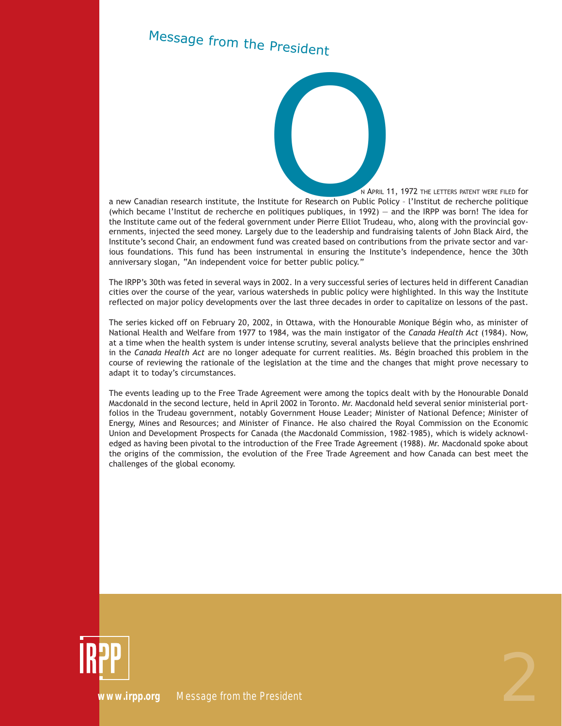# Message from the President

N APRIL 11, 1972 THE LETTERS PATENT WERE FILED for<br>
Stitute for Research on Public Policy - l'Institut de recherche politique<br>
politiques publiques, in 1992) — and the IRPP was born! The idea for<br>
rmment under Pierre Ellio a new Canadian research institute, the Institute for Research on Public Policy – l'Institut de recherche politique (which became l'Institut de recherche en politiques publiques, in 1992) — and the IRPP was born! The idea for the Institute came out of the federal government under Pierre Elliot Trudeau, who, along with the provincial governments, injected the seed money. Largely due to the leadership and fundraising talents of John Black Aird, the Institute's second Chair, an endowment fund was created based on contributions from the private sector and various foundations. This fund has been instrumental in ensuring the Institute's independence, hence the 30th anniversary slogan, "An independent voice for better public policy."

The IRPP's 30th was feted in several ways in 2002. In a very successful series of lectures held in different Canadian cities over the course of the year, various watersheds in public policy were highlighted. In this way the Institute reflected on major policy developments over the last three decades in order to capitalize on lessons of the past.

The series kicked off on February 20, 2002, in Ottawa, with the Honourable Monique Bégin who, as minister of National Health and Welfare from 1977 to 1984, was the main instigator of the *Canada Health Act* (1984). Now, at a time when the health system is under intense scrutiny, several analysts believe that the principles enshrined in the *Canada Health Act* are no longer adequate for current realities. Ms. Bégin broached this problem in the course of reviewing the rationale of the legislation at the time and the changes that might prove necessary to adapt it to today's circumstances.

The events leading up to the Free Trade Agreement were among the topics dealt with by the Honourable Donald Macdonald in the second lecture, held in April 2002 in Toronto. Mr. Macdonald held several senior ministerial portfolios in the Trudeau government, notably Government House Leader; Minister of National Defence; Minister of Energy, Mines and Resources; and Minister of Finance. He also chaired the Royal Commission on the Economic Union and Development Prospects for Canada (the Macdonald Commission, 1982–1985), which is widely acknowledged as having been pivotal to the introduction of the Free Trade Agreement (1988). Mr. Macdonald spoke about the origins of the commission, the evolution of the Free Trade Agreement and how Canada can best meet the challenges of the global economy.



*[www.irpp.org](http://www.irpp.org/) Message from the President* 2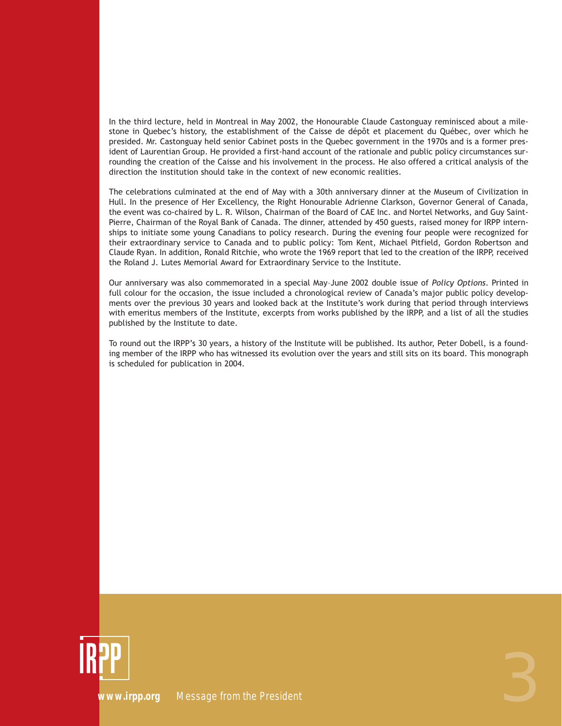In the third lecture, held in Montreal in May 2002, the Honourable Claude Castonguay reminisced about a milestone in Quebec's history, the establishment of the Caisse de dépôt et placement du Québec, over which he presided. Mr. Castonguay held senior Cabinet posts in the Quebec government in the 1970s and is a former president of Laurentian Group. He provided a first-hand account of the rationale and public policy circumstances surrounding the creation of the Caisse and his involvement in the process. He also offered a critical analysis of the direction the institution should take in the context of new economic realities.

The celebrations culminated at the end of May with a 30th anniversary dinner at the Museum of Civilization in Hull. In the presence of Her Excellency, the Right Honourable Adrienne Clarkson, Governor General of Canada, the event was co-chaired by L. R. Wilson, Chairman of the Board of CAE Inc. and Nortel Networks, and Guy Saint-Pierre, Chairman of the Royal Bank of Canada. The dinner, attended by 450 guests, raised money for IRPP internships to initiate some young Canadians to policy research. During the evening four people were recognized for their extraordinary service to Canada and to public policy: Tom Kent, Michael Pitfield, Gordon Robertson and Claude Ryan. In addition, Ronald Ritchie, who wrote the 1969 report that led to the creation of the IRPP, received the Roland J. Lutes Memorial Award for Extraordinary Service to the Institute.

Our anniversary was also commemorated in a special May–June 2002 double issue of *Policy Options*. Printed in full colour for the occasion, the issue included a chronological review of Canada's major public policy developments over the previous 30 years and looked back at the Institute's work during that period through interviews with emeritus members of the Institute, excerpts from works published by the IRPP, and a list of all the studies published by the Institute to date.

To round out the IRPP's 30 years, a history of the Institute will be published. Its author, Peter Dobell, is a founding member of the IRPP who has witnessed its evolution over the years and still sits on its board. This monograph is scheduled for publication in 2004.

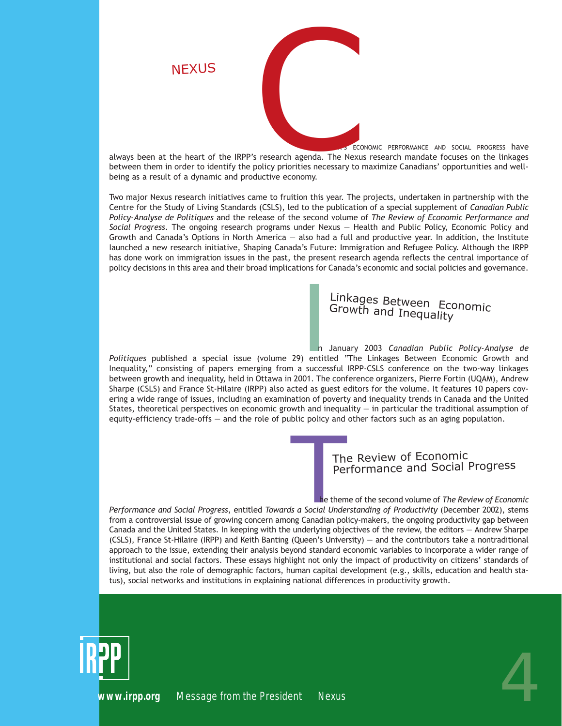ANADA'S ECONOMIC PERFORMANCE AND SOCIAL PROGRESS have always been at the heart of the IRPP's research agenda. The Nexus research mandate focuses on the linkages between them in order to identify the policy priorities necessary to maximize Canadians' opportunities and wellbeing as a result of a dynamic and productive economy. ANAL

**NEXUS** 

Two major Nexus research initiatives came to fruition this year. The projects, undertaken in partnership with the Centre for the Study of Living Standards (CSLS), led to the publication of a special supplement of *Canadian Public Policy-Analyse de Politiques* and the release of the second volume of *The Review of Economic Performance and Social Progress*. The ongoing research programs under Nexus — Health and Public Policy, Economic Policy and Growth and Canada's Options in North America — also had a full and productive year. In addition, the Institute Iaunched a new research initiative, Shaping Canada's Future: Immigration and Refugee Policy. Although the IRPP has done work on immigration issues in the past, the present research agenda reflects the central importance of policy decisions in this area and their broad implications for Canada's economic and social policies and governance.

### Linkages Between Economic Growth and Inequality

Linkages Between Economic<br>Growth and Inequality<br>n January 2003 *Canadian Public Policy-Analyse de*<br>entitled "The Linkages Between Economic Growth and<br>a successful IRPP-CSLS conference on the two-way linkages *Politiques* published a special issue (volume 29) entitled "The Linkages Between Economic Growth and Inequality," consisting of papers emerging from a successful IRPP-CSLS conference on the two-way linkages between growth and inequality, held in Ottawa in 2001. The conference organizers, Pierre Fortin (UQAM), Andrew Sharpe (CSLS) and France St-Hilaire (IRPP) also acted as guest editors for the volume. It features 10 papers covering a wide range of issues, including an examination of poverty and inequality trends in Canada and the United States, theoretical perspectives on economic growth and inequality — in particular the traditional assumption of equity-efficiency trade-offs — and the role of public policy and other factors such as an aging population.

### The Review of Economic Performance and Social Progress

The Review of Economic<br>
Performance and Social Progress<br>
the theme of the second volume of *The Review of Economics*<br>
Social Understanding of Productivity (December 2002), stems<br>
Ing Canadian policy-makers, the ongoing pro *Performance and Social Progress*, entitled *Towards a Social Understanding of Productivity* (December 2002), stems from a controversial issue of growing concern among Canadian policy-makers, the ongoing productivity gap between Canada and the United States. In keeping with the underlying objectives of the review, the editors — Andrew Sharpe (CSLS), France St-Hilaire (IRPP) and Keith Banting (Queen's University) — and the contributors take a nontraditional approach to the issue, extending their analysis beyond standard economic variables to incorporate a wider range of institutional and social factors. These essays highlight not only the impact of productivity on citizens' standards of living, but also the role of demographic factors, human capital development (e.g., skills, education and health status), social networks and institutions in explaining national differences in productivity growth.

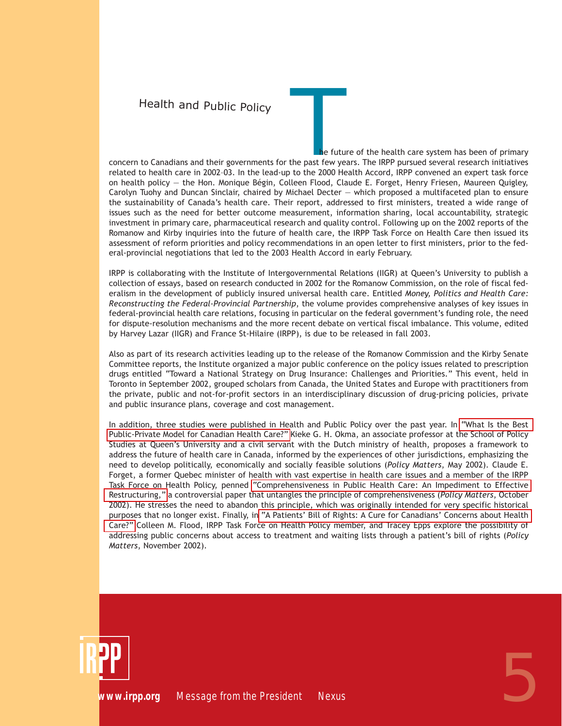### Health and Public Policy

The future of the health care system has been of primary<br>the past few years. The IRPP pursued several research initiatives<br>to the 2000 Health Accord, IRPP convened an expert task force concern to Canadians and their governments for the past few years. The IRPP pursued several research initiatives related to health care in 2002–03. In the lead-up to the 2000 Health Accord, IRPP convened an expert task force on health policy — the Hon. Monique Bégin, Colleen Flood, Claude E. Forget, Henry Friesen, Maureen Quigley, Carolyn Tuohy and Duncan Sinclair, chaired by Michael Decter — which proposed a multifaceted plan to ensure the sustainability of Canada's health care. Their report, addressed to first ministers, treated a wide range of issues such as the need for better outcome measurement, information sharing, local accountability, strategic investment in primary care, pharmaceutical research and quality control. Following up on the 2002 reports of the Romanow and Kirby inquiries into the future of health care, the IRPP Task Force on Health Care then issued its assessment of reform priorities and policy recommendations in an open letter to first ministers, prior to the federal-provincial negotiations that led to the 2003 Health Accord in early February.

IRPP is collaborating with the Institute of Intergovernmental Relations (IIGR) at Queen's University to publish a collection of essays, based on research conducted in 2002 for the Romanow Commission, on the role of fiscal federalism in the development of publicly insured universal health care. Entitled *Money, Politics and Health Care: Reconstructing the Federal-Provincial Partnership*, the volume provides comprehensive analyses of key issues in federal-provincial health care relations, focusing in particular on the federal government's funding role, the need for dispute-resolution mechanisms and the more recent debate on vertical fiscal imbalance. This volume, edited by Harvey Lazar (IIGR) and France St-Hilaire (IRPP), is due to be released in fall 2003.

Also as part of its research activities leading up to the release of the Romanow Commission and the Kirby Senate Committee reports, the Institute organized a major public conference on the policy issues related to prescription drugs entitled "Toward a National Strategy on Drug Insurance: Challenges and Priorities." This event, held in Toronto in September 2002, grouped scholars from Canada, the United States and Europe with practitioners from the private, public and not-for-profit sectors in an interdisciplinary discussion of drug-pricing policies, private and public insurance plans, coverage and cost management.

In addition, three studies were published in Health and Public Policy over the past year. In ["What Is the Best](http://www.irpp.org/pm/archive/pmvol3no6.pdf) [Public-Private Model for Canadian Health Care?"](http://www.irpp.org/pm/archive/pmvol3no6.pdf) Kieke G. H. Okma, an associate professor at the School of Policy Studies at Queen's University and a civil servant with the Dutch ministry of health, proposes a framework to address the future of health care in Canada, informed by the experiences of other jurisdictions, emphasizing the need to develop politically, economically and socially feasible solutions (*Policy Matters*, May 2002). Claude E. Forget, a former Quebec minister of health with vast expertise in health care issues and a member of the IRPP Task Force on Health Policy, penned ["Comprehensiveness in Public Health Care: An Impediment to Effective](http://www.irpp.org/pm/archive/pmvol3no11.pdf) [Restructuring,"](http://www.irpp.org/pm/archive/pmvol3no11.pdf) a controversial paper that untangles the principle of comprehensiveness (*Policy Matters*, October 2002). He stresses the need to abandon this principle, which was originally intended for very specific historical purposes that no longer exist. Finally, in ["A Patients' Bill of Rights: A Cure for Canadians' Concerns about Health](http://www.irpp.org/pm/archive/pmvol3no12.pdf) [Care?"](http://www.irpp.org/pm/archive/pmvol3no12.pdf) Colleen M. Flood, IRPP Task Force on Health Policy member, and Tracey Epps explore the possibility of addressing public concerns about access to treatment and waiting lists through a patient's bill of rights (*Policy Matters*, November 2002).

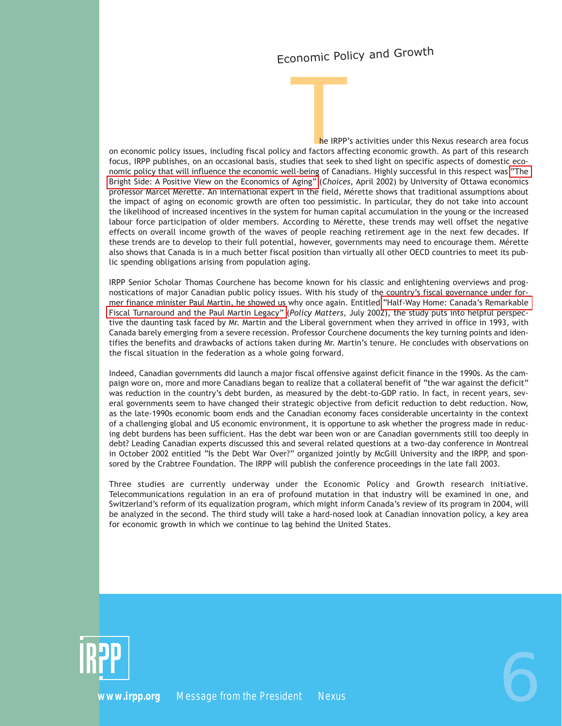### Economic Policy and Growth

The IRPP's activities under this Nexus research area focus<br>and factors affecting economic growth. As part of this research<br>dies that seek to shed light on specific aspects of domestic ecoon economic policy issues, including fiscal policy and factors affecting economic growth. As part of this research focus, IRPP publishes, on an occasional basis, studies that seek to shed light on specific aspects of domestic economic policy that will influence the economic well-being of Canadians. Highly successful in this respect was ["The](http://www.irpp.org/choices/archive.vol8no1.pdf) [Bright Side: A Positive View on the Economics of Aging"](http://www.irpp.org/choices/archive.vol8no1.pdf) (*Choices*, April 2002) by University of Ottawa economics professor Marcel Mérette. An international expert in the field, Mérette shows that traditional assumptions about the impact of aging on economic growth are often too pessimistic. In particular, they do not take into account the likelihood of increased incentives in the system for human capital accumulation in the young or the increased labour force participation of older members. According to Mérette, these trends may well offset the negative effects on overall income growth of the waves of people reaching retirement age in the next few decades. If these trends are to develop to their full potential, however, governments may need to encourage them. Mérette also shows that Canada is in a much better fiscal position than virtually all other OECD countries to meet its public spending obligations arising from population aging.

IRPP Senior Scholar Thomas Courchene has become known for his classic and enlightening overviews and prognostications of major Canadian public policy issues. With his study of the country's fiscal governance under former finance minister Paul Martin, he showed us why once again. Entitled ["Half-Way Home: Canada's Remarkable](http://www.irpp.org/pm/archive/pmvol3no8.pdf) [Fiscal Turnaround and the Paul Martin Legacy"](http://www.irpp.org/pm/archive/pmvol3no8.pdf) (*Policy Matters*, July 2002), the study puts into helpful perspective the daunting task faced by Mr. Martin and the Liberal government when they arrived in office in 1993, with Canada barely emerging from a severe recession. Professor Courchene documents the key turning points and identifies the benefits and drawbacks of actions taken during Mr. Martin's tenure. He concludes with observations on the fiscal situation in the federation as a whole going forward.

Indeed, Canadian governments did launch a major fiscal offensive against deficit finance in the 1990s. As the campaign wore on, more and more Canadians began to realize that a collateral benefit of "the war against the deficit" was reduction in the country's debt burden, as measured by the debt-to-GDP ratio. In fact, in recent years, several governments seem to have changed their strategic objective from deficit reduction to debt reduction. Now, as the late-1990s economic boom ends and the Canadian economy faces considerable uncertainty in the context of a challenging global and US economic environment, it is opportune to ask whether the progress made in reducing debt burdens has been sufficient. Has the debt war been won or are Canadian governments still too deeply in debt? Leading Canadian experts discussed this and several related questions at a two-day conference in Montreal in October 2002 entitled "Is the Debt War Over?" organized jointly by McGill University and the IRPP, and sponsored by the Crabtree Foundation. The IRPP will publish the conference proceedings in the late fall 2003.

Three studies are currently underway under the Economic Policy and Growth research initiative. Telecommunications regulation in an era of profound mutation in that industry will be examined in one, and Switzerland's reform of its equalization program, which might inform Canada's review of its program in 2004, will be analyzed in the second. The third study will take a hard-nosed look at Canadian innovation policy, a key area for economic growth in which we continue to lag behind the United States.

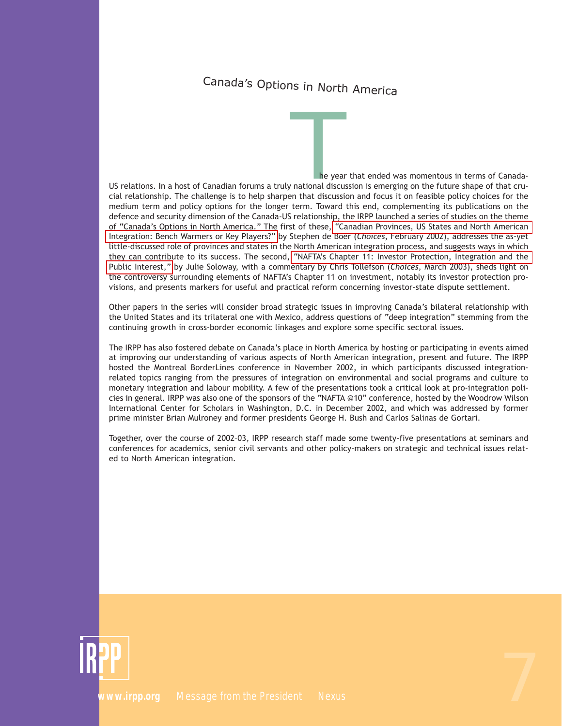# Canada's Options in North America

The year that ended was momentous in terms of Canada-<br>
inational discussion is emerging on the future shape of that cru-<br>
In that discussion and focus it on feasible policy choices for the US relations. In a host of Canadian forums a truly national discussion is emerging on the future shape of that crucial relationship. The challenge is to help sharpen that discussion and focus it on feasible policy choices for the medium term and policy options for the longer term. Toward this end, complementing its publications on the defence and security dimension of the Canada-US relationship, the IRPP launched a series of studies on the theme of "Canada's Options in North America." The first of these, ["Canadian Provinces, US States and North American](http://www.irpp.org/choices/archive/vol8no4.pdf) [Integration: Bench Warmers or Key Players?"](http://www.irpp.org/choices/archive/vol8no4.pdf) by Stephen de Boer (*Choices*, February 2002), addresses the as-yet little-discussed role of provinces and states in the North American integration process, and suggests ways in which they can contribute to its success. The second, ["NAFTA's Chapter 11: Investor Protection, Integration and the](http://www.irpp.org/choices/archive/vol9no2.pdf) [Public Interest,"](http://www.irpp.org/choices/archive/vol9no2.pdf) by Julie Soloway, with a commentary by Chris Tollefson (*Choices*, March 2003), sheds light on the controversy surrounding elements of NAFTA's Chapter 11 on investment, notably its investor protection provisions, and presents markers for useful and practical reform concerning investor-state dispute settlement.

Other papers in the series will consider broad strategic issues in improving Canada's bilateral relationship with the United States and its trilateral one with Mexico, address questions of "deep integration" stemming from the continuing growth in cross-border economic linkages and explore some specific sectoral issues.

The IRPP has also fostered debate on Canada's place in North America by hosting or participating in events aimed at improving our understanding of various aspects of North American integration, present and future. The IRPP hosted the Montreal BorderLines conference in November 2002, in which participants discussed integrationrelated topics ranging from the pressures of integration on environmental and social programs and culture to monetary integration and labour mobility. A few of the presentations took a critical look at pro-integration policies in general. IRPP was also one of the sponsors of the "NAFTA @10" conference, hosted by the Woodrow Wilson International Center for Scholars in Washington, D.C. in December 2002, and which was addressed by former prime minister Brian Mulroney and former presidents George H. Bush and Carlos Salinas de Gortari.

Together, over the course of 2002–03, IRPP research staff made some twenty-five presentations at seminars and conferences for academics, senior civil servants and other policy-makers on strategic and technical issues related to North American integration.

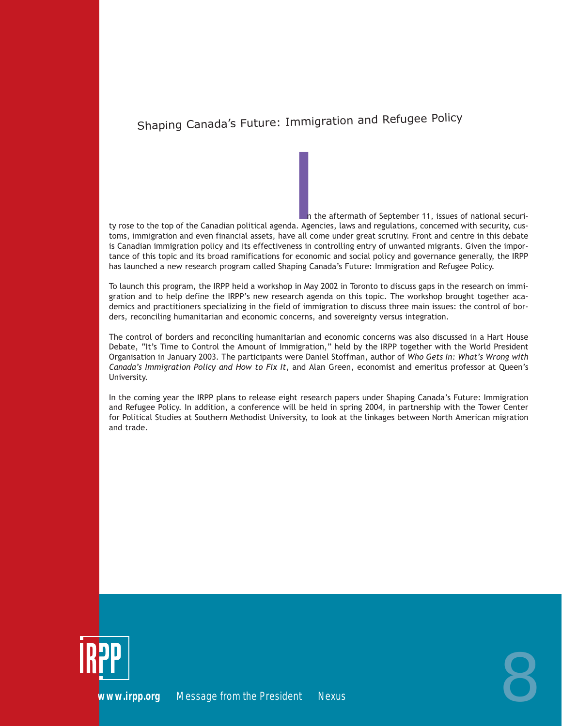### Shaping Canada's Future: Immigration and Refugee Policy

In the aftermath of September 11, issues of national securi-<br>In the aftermath of September 11, issues of national securi-<br>In Agencies, laws and regulations, concerned with security, cus-<br>In this debate ty rose to the top of the Canadian political agenda. Agencies, laws and regulations, concerned with security, customs, immigration and even financial assets, have all come under great scrutiny. Front and centre in this debate is Canadian immigration policy and its effectiveness in controlling entry of unwanted migrants. Given the importance of this topic and its broad ramifications for economic and social policy and governance generally, the IRPP has launched a new research program called Shaping Canada's Future: Immigration and Refugee Policy.

To launch this program, the IRPP held a workshop in May 2002 in Toronto to discuss gaps in the research on immigration and to help define the IRPP's new research agenda on this topic. The workshop brought together academics and practitioners specializing in the field of immigration to discuss three main issues: the control of borders, reconciling humanitarian and economic concerns, and sovereignty versus integration.

The control of borders and reconciling humanitarian and economic concerns was also discussed in a Hart House Debate, "It's Time to Control the Amount of Immigration," held by the IRPP together with the World President Organisation in January 2003. The participants were Daniel Stoffman, author of *Who Gets In: What's Wrong with Canada's Immigration Policy and How to Fix It*, and Alan Green, economist and emeritus professor at Queen's University.

In the coming year the IRPP plans to release eight research papers under Shaping Canada's Future: Immigration and Refugee Policy. In addition, a conference will be held in spring 2004, in partnership with the Tower Center for Political Studies at Southern Methodist University, to look at the linkages between North American migration and trade.



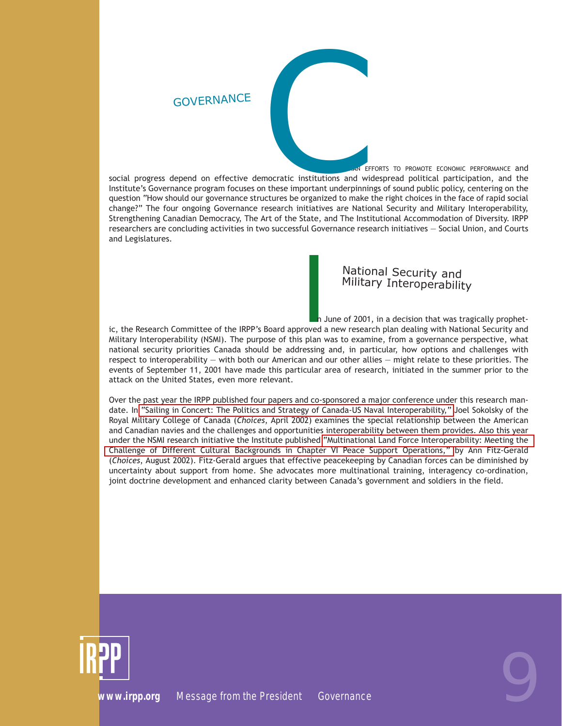

ANADIAN EFFORTS TO PROMOTE ECONOMIC PERFORMANCE and social progress depend on effective democratic institutions and widespread political participation, and the Institute's Governance program focuses on these important underpinnings of sound public policy, centering on the question "How should our governance structures be organized to make the right choices in the face of rapid social change?" The four ongoing Governance research initiatives are National Security and Military Interoperability, Strengthening Canadian Democracy, The Art of the State, and The Institutional Accommodation of Diversity. IRPP researchers are concluding activities in two successful Governance research initiatives — Social Union, and Courts and Legislatures.

### National Security and Military Interoperability

**INTERN MATE SET ASSEM IN THE SET ASSEM**<br>
In June of 2001, in a decision that was tragically prophet-<br>
In June of 2001, in a decision that was tragically prophet-<br>
In June of 2001, in a decision that was tragically prophet ic, the Research Committee of the IRPP's Board approved a new research plan dealing with National Security and Military Interoperability (NSMI). The purpose of this plan was to examine, from a governance perspective, what national security priorities Canada should be addressing and, in particular, how options and challenges with respect to interoperability — with both our American and our other allies — might relate to these priorities. The events of September 11, 2001 have made this particular area of research, initiated in the summer prior to the attack on the United States, even more relevant.

Over the past year the IRPP published four papers and co-sponsored a major conference under this research mandate. In ["Sailing in Concert: The Politics and Strategy of Canada-US Naval Interoperability,"](http://www.irpp.org/choices/archive/vol8no2.pdf) Joel Sokolsky of the Royal Military College of Canada (*Choices*, April 2002) examines the special relationship between the American and Canadian navies and the challenges and opportunities interoperability between them provides. Also this year under the NSMI research initiative the Institute published ["Multinational Land Force Interoperability: Meeting the](http://www.irpp.org/choices/archive/vol8no3.pdf) [Challenge of Different Cultural Backgrounds in Chapter VI Peace Support Operations,"](http://www.irpp.org/choices/archive/vol8no3.pdf) by Ann Fitz-Gerald (*Choices*, August 2002). Fitz-Gerald argues that effective peacekeeping by Canadian forces can be diminished by uncertainty about support from home. She advocates more multinational training, interagency co-ordination, joint doctrine development and enhanced clarity between Canada's government and soldiers in the field.

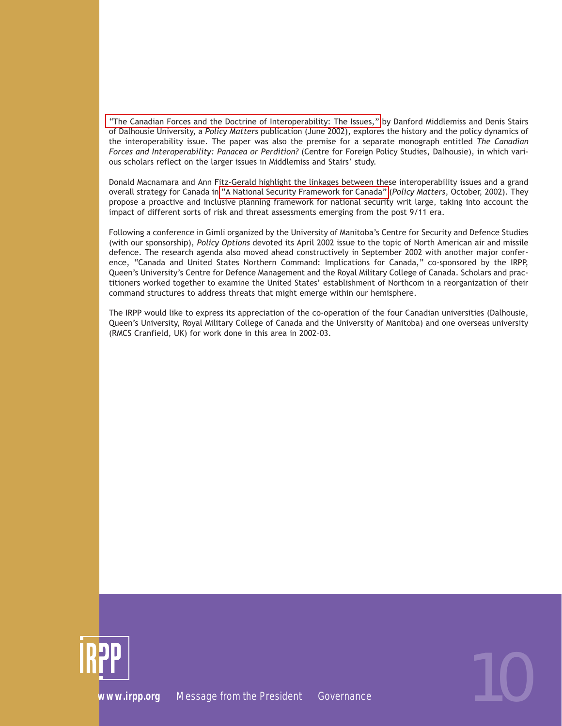["The Canadian Forces and the Doctrine of Interoperability: The Issues,"](http://www.irpp.org/pm/archive/pmvol3no7.pdf) by Danford Middlemiss and Denis Stairs of Dalhousie University, a *Policy Matters* publication (June 2002), explores the history and the policy dynamics of the interoperability issue. The paper was also the premise for a separate monograph entitled *The Canadian Forces and Interoperability: Panacea or Perdition?* (Centre for Foreign Policy Studies, Dalhousie), in which various scholars reflect on the larger issues in Middlemiss and Stairs' study.

Donald Macnamara and Ann Fitz-Gerald highlight the linkages between these interoperability issues and a grand overall strategy for Canada in ["A National Security Framework for Canada"](http://www.irpp.org/pm/archive/pmvol3no10.pdf) (*Policy Matters*, October, 2002). They propose a proactive and inclusive planning framework for national security writ large, taking into account the impact of different sorts of risk and threat assessments emerging from the post 9/11 era.

Following a conference in Gimli organized by the University of Manitoba's Centre for Security and Defence Studies (with our sponsorship), *Policy Options* devoted its April 2002 issue to the topic of North American air and missile defence. The research agenda also moved ahead constructively in September 2002 with another major conference, "Canada and United States Northern Command: Implications for Canada," co-sponsored by the IRPP, Queen's University's Centre for Defence Management and the Royal Military College of Canada. Scholars and practitioners worked together to examine the United States' establishment of Northcom in a reorganization of their command structures to address threats that might emerge within our hemisphere.

The IRPP would like to express its appreciation of the co-operation of the four Canadian universities (Dalhousie, Queen's University, Royal Military College of Canada and the University of Manitoba) and one overseas university (RMCS Cranfield, UK) for work done in this area in 2002–03.

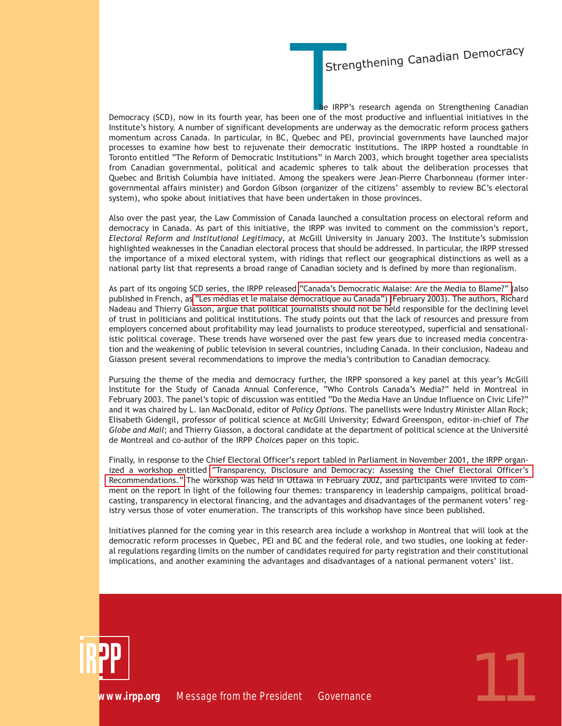### **Strengthening Canadian Democracy**

Strengthening Canadian Democracy<br>
he IRPP's research agenda on Strengthening Canadian<br>
en one of the most productive and influential initiatives in the<br>
ppments are underway as the democratic reform process gathers Democracy (SCD), now in its fourth year, has been one of the most productive and influential initiatives in the Institute's history. A number of significant developments are underway as the democratic reform process gathers momentum across Canada. In particular, in BC, Quebec and PEI, provincial governments have launched major processes to examine how best to rejuvenate their democratic institutions. The IRPP hosted a roundtable in Toronto entitled "The Reform of Democratic Institutions" in March 2003, which brought together area specialists from Canadian governmental, political and academic spheres to talk about the deliberation processes that Quebec and British Columbia have initiated. Among the speakers were Jean-Pierre Charbonneau (former intergovernmental affairs minister) and Gordon Gibson (organizer of the citizens' assembly to review BC's electoral system), who spoke about initiatives that have been undertaken in those provinces.

Also over the past year, the Law Commission of Canada launched a consultation process on electoral reform and democracy in Canada. As part of this initiative, the IRPP was invited to comment on the commission's report, *Electoral Reform and Institutional Legitimacy*, at McGill University in January 2003. The Institute's submission highlighted weaknesses in the Canadian electoral process that should be addressed. In particular, the IRPP stressed the importance of a mixed electoral system, with ridings that reflect our geographical distinctions as well as a national party list that represents a broad range of Canadian society and is defined by more than regionalism.

As part of its ongoing SCD series, the IRPP released ["Canada's Democratic Malaise: Are the Media to Blame?" \(](http://www.irpp.org/choices/archive/vol9no1.pdf)also published in French, a[s "Les médias et le malaise démocratique au Canada"\) \(](http://www.irpp.org/fr/choices/archive/vol9no1.pdf)February 2003). The authors, Richard Nadeau and Thierry Giasson, argue that political journalists should not be held responsible for the declining level of trust in politicians and political institutions. The study points out that the lack of resources and pressure from employers concerned about profitability may lead journalists to produce stereotyped, superficial and sensationalistic political coverage. These trends have worsened over the past few years due to increased media concentration and the weakening of public television in several countries, including Canada. In their conclusion, Nadeau and Giasson present several recommendations to improve the media's contribution to Canadian democracy.

Pursuing the theme of the media and democracy further, the IRPP sponsored a key panel at this year's McGill Institute for the Study of Canada Annual Conference, "Who Controls Canada's Media?" held in Montreal in February 2003. The panel's topic of discussion was entitled "Do the Media Have an Undue Influence on Civic Life?" and it was chaired by L. Ian MacDonald, editor of *Policy Options*. The panellists were Industry Minister Allan Rock; Elisabeth Gidengil, professor of political science at McGill University; Edward Greenspon, editor-in-chief of *The Globe and Mail*; and Thierry Giasson, a doctoral candidate at the department of political science at the Université de Montreal and co-author of the IRPP *Choice*s paper on this topic.

Finally, in response to the Chief Electoral Officer's report tabled in Parliament in November 2001, the IRPP organized a workshop entitled ["Transparency, Disclosure and Democracy: Assessing the Chief Electoral Officer's](http://www.irpp.org/miscpubs/archive/030206e.pdf) [Recommendations."](http://www.irpp.org/miscpubs/archive/030206e.pdf) The workshop was held in Ottawa in February 2002, and participants were invited to comment on the report in light of the following four themes: transparency in leadership campaigns, political broadcasting, transparency in electoral financing, and the advantages and disadvantages of the permanent voters' registry versus those of voter enumeration. The transcripts of this workshop have since been published.

Initiatives planned for the coming year in this research area include a workshop in Montreal that will look at the democratic reform processes in Quebec, PEI and BC and the federal role, and two studies, one looking at federal regulations regarding limits on the number of candidates required for party registration and their constitutional implications, and another examining the advantages and disadvantages of a national permanent voters' list.

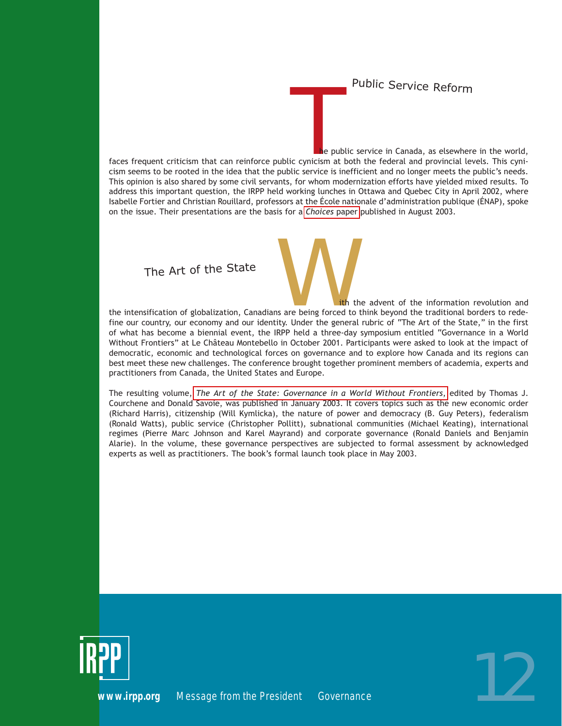Public Service Reform

THE PUBLIC SETVICE REFORM<br>
THE PUBLIC SETVICE REFORM<br>
THE public service in Canada, as elsewhere in the world,<br>
In the public service is inefficient and no longer meets the public's needs. faces frequent criticism that can reinforce public cynicism at both the federal and provincial levels. This cynicism seems to be rooted in the idea that the public service is inefficient and no longer meets the public's needs. This opinion is also shared by some civil servants, for whom modernization efforts have yielded mixed results. To address this important question, the IRPP held working lunches in Ottawa and Quebec City in April 2002, where Isabelle Fortier and Christian Rouillard, professors at the École nationale d'administration publique (ÉNAP), spoke on the issue. Their presentations are the basis for a *[Choices](http://www.irpp.org/choices/archive/vol9no6.pdf)* paper published in August 2003.

The Art of the State

If the advent of the information revolution and<br>its are being forced to think beyond the traditional borders to rede-<br>ity. Under the general rubric of "The Art of the State," in the first the intensification of globalization, Canadians are being forced to think beyond the traditional borders to redefine our country, our economy and our identity. Under the general rubric of "The Art of the State," in the first of what has become a biennial event, the IRPP held a three-day symposium entitled "Governance in a World Without Frontiers" at Le Château Montebello in October 2001. Participants were asked to look at the impact of democratic, economic and technological forces on governance and to explore how Canada and its regions can best meet these new challenges. The conference brought together prominent members of academia, experts and practitioners from Canada, the United States and Europe.

The resulting volume, *[The Art of the State: Governance in a World Without Frontiers](http://www.irpp.org/books/archive/16224598.htm)*, edited by Thomas J. Courchene and Donald Savoie, was published in January 2003. It covers topics such as the new economic order (Richard Harris), citizenship (Will Kymlicka), the nature of power and democracy (B. Guy Peters), federalism (Ronald Watts), public service (Christopher Pollitt), subnational communities (Michael Keating), international regimes (Pierre Marc Johnson and Karel Mayrand) and corporate governance (Ronald Daniels and Benjamin Alarie). In the volume, these governance perspectives are subjected to formal assessment by acknowledged experts as well as practitioners. The book's formal launch took place in May 2003.

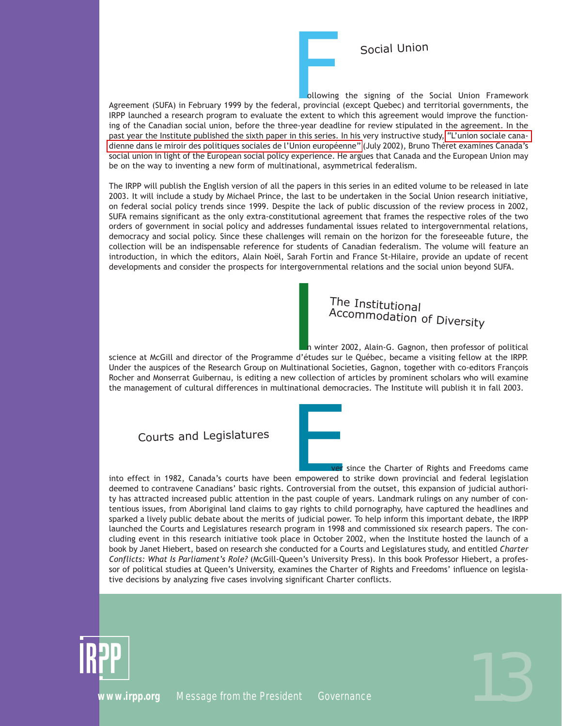Social Union

Following the signing of the Social Union Framework<br>al, provincial (except Quebec) and territorial governments, the<br>ne extent to which this agreement would improve the function-Agreement (SUFA) in February 1999 by the federal, provincial (except Quebec) and territorial governments, the IRPP launched a research program to evaluate the extent to which this agreement would improve the functioning of the Canadian social union, before the three-year deadline for review stipulated in the agreement. In the past year the Institute published the sixth paper in this series. In his very instructive study, ["L'union sociale cana](http://www.irpp.org/fr/pm/archive/pmvol3no9f.pdf)[dienne dans le miroir des politiques sociales de l'Union européenne"](http://www.irpp.org/fr/pm/archive/pmvol3no9f.pdf) (July 2002), Bruno Théret examines Canada's social union in light of the European social policy experience. He argues that Canada and the European Union may be on the way to inventing a new form of multinational, asymmetrical federalism.

The IRPP will publish the English version of all the papers in this series in an edited volume to be released in late 2003. It will include a study by Michael Prince, the last to be undertaken in the Social Union research initiative, on federal social policy trends since 1999. Despite the lack of public discussion of the review process in 2002, SUFA remains significant as the only extra-constitutional agreement that frames the respective roles of the two orders of government in social policy and addresses fundamental issues related to intergovernmental relations, democracy and social policy. Since these challenges will remain on the horizon for the foreseeable future, the collection will be an indispensable reference for students of Canadian federalism. The volume will feature an introduction, in which the editors, Alain Noël, Sarah Fortin and France St-Hilaire, provide an update of recent developments and consider the prospects for intergovernmental relations and the social union beyond SUFA.

### The Institutional Accommodation of Diversity

The Institutional<br>Accommodation of Diversity<br>
n winter 2002, Alain-G. Gagnon, then professor of political<br>
Ed'études sur le Québec, became a visiting fellow at the IRPP.<br>
Itinational Societies, Gagnon, together with co-edi science at McGill and director of the Programme d'études sur le Québec, became a visiting fellow at the IRPP. Under the auspices of the Research Group on Multinational Societies, Gagnon, together with co-editors François Rocher and Monserrat Guibernau, is editing a new collection of articles by prominent scholars who will examine the management of cultural differences in multinational democracies. The Institute will publish it in fall 2003.

Courts and Legislatures



For the Charter of Rights and Freedoms came<br>ampowered to strike down provincial and federal legislation<br>iontroversial from the outset, this expansion of judicial authoriinto effect in 1982, Canada's courts have been empowered to strike down provincial and federal legislation deemed to contravene Canadians' basic rights. Controversial from the outset, this expansion of judicial authority has attracted increased public attention in the past couple of years. Landmark rulings on any number of contentious issues, from Aboriginal land claims to gay rights to child pornography, have captured the headlines and sparked a lively public debate about the merits of judicial power. To help inform this important debate, the IRPP launched the Courts and Legislatures research program in 1998 and commissioned six research papers. The concluding event in this research initiative took place in October 2002, when the Institute hosted the launch of a book by Janet Hiebert, based on research she conducted for a Courts and Legislatures study, and entitled *Charter Conflicts: What Is Parliament's Role?* (McGill-Queen's University Press). In this book Professor Hiebert, a professor of political studies at Queen's University, examines the Charter of Rights and Freedoms' influence on legislative decisions by analyzing five cases involving significant Charter conflicts.



**PP**<br>[www.irpp.org](http://www.irpp.org) *Message from the President Governance* 13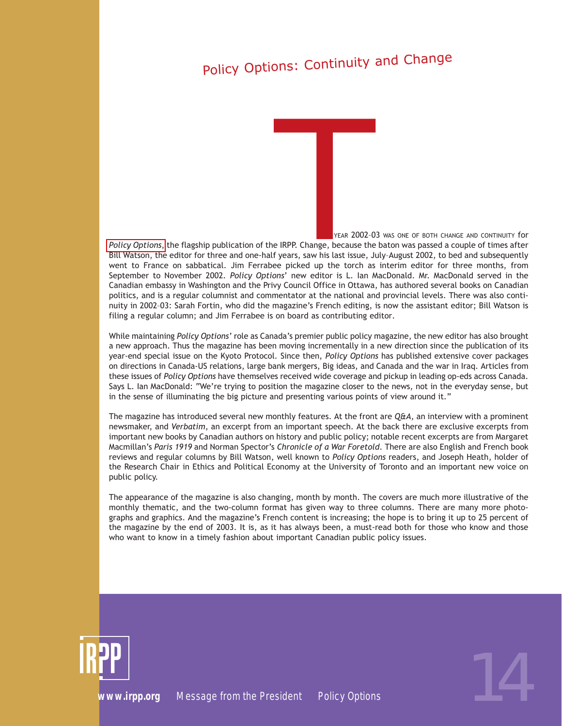# Policy Options: Continuity and Change

HE YEAR 2002–03 WAS ONE OF BOTH CHANGE AND CONTINUITY for *[Policy Options](http://www.irpp.org/po/index.htm)*, the flagship publication of the IRPP. Change, because the baton was passed a couple of times after Bill Watson, the editor for three and one-half years, saw his last issue, July–August 2002, to bed and subsequently went to France on sabbatical. Jim Ferrabee picked up the torch as interim editor for three months, from September to November 2002. *Policy Options*' new editor is L. Ian MacDonald. Mr. MacDonald served in the Canadian embassy in Washington and the Privy Council Office in Ottawa, has authored several books on Canadian politics, and is a regular columnist and commentator at the national and provincial levels. There was also continuity in 2002–03: Sarah Fortin, who did the magazine's French editing, is now the assistant editor; Bill Watson is filing a regular column; and Jim Ferrabee is on board as contributing editor*.* FRANCE SEARCH SEARCH THE YEAR<br>
FRANCE SEARCH SEARCH SEARCH SEARCH SEARCH SEARCH SEARCH SEARCH SEARCH SEARCH SEARCH SEARCH SEARCH SEARCH SEARCH SEARCH SEARCH SEARCH SEARCH SEARCH SEARCH SEARCH SEARCH SEARCH SEARCH SEARCH SE

While maintaining *Policy Options'* role as Canada's premier public policy magazine, the new editor has also brought a new approach. Thus the magazine has been moving incrementally in a new direction since the publication of its year-end special issue on the Kyoto Protocol. Since then, *Policy Options* has published extensive cover packages on directions in Canada-US relations, large bank mergers, Big ideas, and Canada and the war in Iraq. Articles from these issues of *Policy Options* have themselves received wide coverage and pickup in leading op-eds across Canada. Says L. Ian MacDonald: "We're trying to position the magazine closer to the news, not in the everyday sense, but in the sense of illuminating the big picture and presenting various points of view around it."

The magazine has introduced several new monthly features. At the front are *Q&A,* an interview with a prominent newsmaker, and *Verbatim*, an excerpt from an important speech. At the back there are exclusive excerpts from important new books by Canadian authors on history and public policy; notable recent excerpts are from Margaret Macmillan's *Paris 1919* and Norman Spector's *Chronicle of a War Foretold*. There are also English and French book reviews and regular columns by Bill Watson, well known to *Policy Options* readers, and Joseph Heath, holder of the Research Chair in Ethics and Political Economy at the University of Toronto and an important new voice on public policy.

The appearance of the magazine is also changing, month by month. The covers are much more illustrative of the monthly thematic, and the two-column format has given way to three columns. There are many more photographs and graphics. And the magazine's French content is increasing; the hope is to bring it up to 25 percent of the magazine by the end of 2003. It is, as it has always been, a must-read both for those who know and those who want to know in a timely fashion about important Canadian public policy issues.



*[www.irpp.org](http://www.irpp.org) Message from the President Policy Options* 14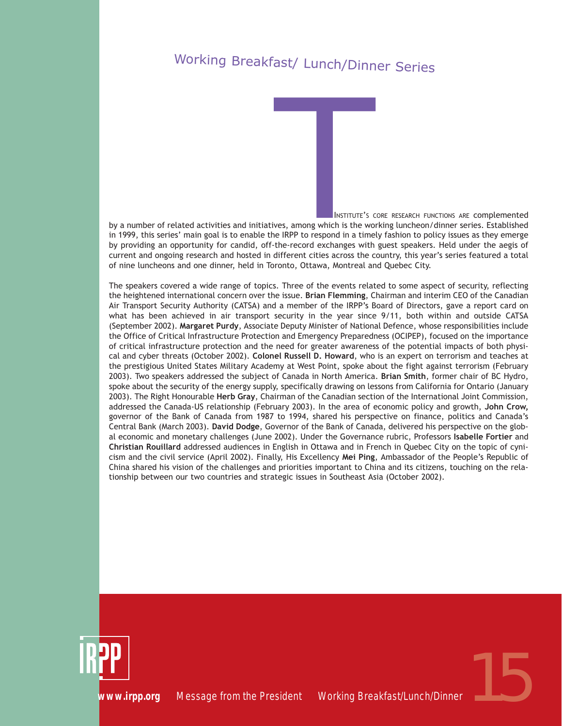# Working Breakfast/ Lunch/Dinner Series

HE INSTITUTE'S CORE RESEARCH FUNCTIONS ARE COMplemented by a number of related activities and initiatives, among which is the working luncheon/dinner series. Established in 1999, this series' main goal is to enable the IRPP to respond in a timely fashion to policy issues as they emerge by providing an opportunity for candid, off-the-record exchanges with guest speakers. Held under the aegis of current and ongoing research and hosted in different cities across the country, this year's series featured a total of nine luncheons and one dinner, held in Toronto, Ottawa, Montreal and Quebec City. HE INSTITUTES<br>
WEST AMONG WHE INSTITUTES<br>
THE IRPP to respond in the-record exchanged<br>
different cities acro

The speakers covered a wide range of topics. Three of the events related to some aspect of security, reflecting the heightened international concern over the issue. **Brian Flemming**, Chairman and interim CEO of the Canadian Air Transport Security Authority (CATSA) and a member of the IRPP's Board of Directors, gave a report card on what has been achieved in air transport security in the year since 9/11, both within and outside CATSA (September 2002). **Margaret Purdy**, Associate Deputy Minister of National Defence, whose responsibilities include the Office of Critical Infrastructure Protection and Emergency Preparedness (OCIPEP), focused on the importance of critical infrastructure protection and the need for greater awareness of the potential impacts of both physical and cyber threats (October 2002). **Colonel Russell D. Howard**, who is an expert on terrorism and teaches at the prestigious United States Military Academy at West Point, spoke about the fight against terrorism (February 2003). Two speakers addressed the subject of Canada in North America. **Brian Smith**, former chair of BC Hydro, spoke about the security of the energy supply, specifically drawing on lessons from California for Ontario (January 2003). The Right Honourable **Herb Gray**, Chairman of the Canadian section of the International Joint Commission, addressed the Canada-US relationship (February 2003). In the area of economic policy and growth, **John Crow,** governor of the Bank of Canada from 1987 to 1994, shared his perspective on finance, politics and Canada's Central Bank (March 2003). **David Dodge**, Governor of the Bank of Canada, delivered his perspective on the global economic and monetary challenges (June 2002). Under the Governance rubric, Professors **Isabelle Fortier** and **Christian Rouillard** addressed audiences in English in Ottawa and in French in Quebec City on the topic of cynicism and the civil service (April 2002). Finally, His Excellency **Mei Ping**, Ambassador of the People's Republic of China shared his vision of the challenges and priorities important to China and its citizens, touching on the relationship between our two countries and strategic issues in Southeast Asia (October 2002).



**PP**<br>[www.irpp.org](http://www.irpp.org)  Message from the President Working Breakfast/Lunch/Dinner<br>1599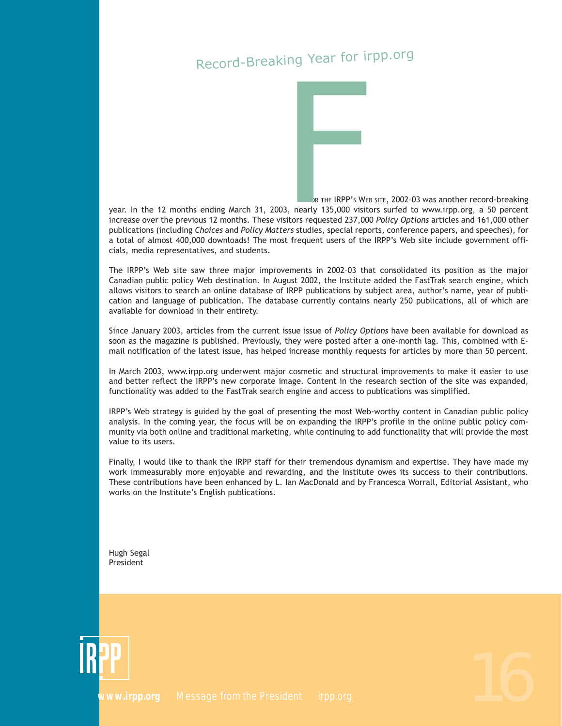# Record-Breaking Year for irpp.org



OR THE IRPP'S WEB SITE, 2002–03 was another record-breaking

year. In the 12 months ending March 31, 2003, nearly 135,000 visitors surfed to www.irpp.org, a 50 percent increase over the previous 12 months. These visitors requested 237,000 *Policy Options* articles and 161,000 other publications (including *Choices* and *Policy Matters* studies, special reports, conference papers, and speeches), for a total of almost 400,000 downloads! The most frequent users of the IRPP's Web site include government officials, media representatives, and students.

The IRPP's Web site saw three major improvements in 2002–03 that consolidated its position as the major Canadian public policy Web destination. In August 2002, the Institute added the FastTrak search engine, which allows visitors to search an online database of IRPP publications by subject area, author's name, year of publication and language of publication. The database currently contains nearly 250 publications, all of which are available for download in their entirety.

Since January 2003, articles from the current issue issue of *Policy Options* have been available for download as soon as the magazine is published. Previously, they were posted after a one-month lag. This, combined with Email notification of the latest issue, has helped increase monthly requests for articles by more than 50 percent.

In March 2003, www.irpp.org underwent major cosmetic and structural improvements to make it easier to use and better reflect the IRPP's new corporate image. Content in the research section of the site was expanded, functionality was added to the FastTrak search engine and access to publications was simplified.

IRPP's Web strategy is guided by the goal of presenting the most Web-worthy content in Canadian public policy analysis. In the coming year, the focus will be on expanding the IRPP's profile in the online public policy community via both online and traditional marketing, while continuing to add functionality that will provide the most value to its users.

Finally, I would like to thank the IRPP staff for their tremendous dynamism and expertise. They have made my work immeasurably more enjoyable and rewarding, and the Institute owes its success to their contributions. These contributions have been enhanced by L. Ian MacDonald and by Francesca Worrall, Editorial Assistant, who works on the Institute's English publications.

Hugh Segal President

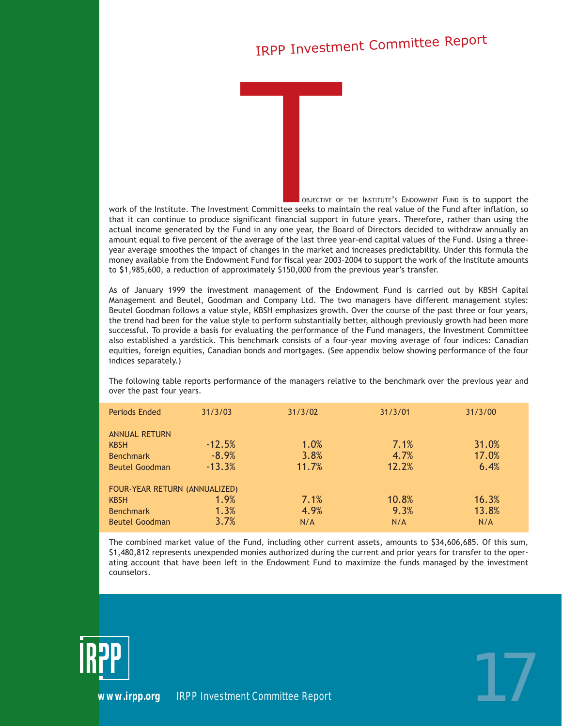# IRPP Investment Committee Report

HE OBJECTIVE OF THE INSTITUTE'S ENDOWMENT FUND is to support the work of the Institute. The Investment Committee seeks to maintain the real value of the Fund after inflation, so that it can continue to produce significant financial support in future years. Therefore, rather than using the actual income generated by the Fund in any one year, the Board of Directors decided to withdraw annually an amount equal to five percent of the average of the last three year-end capital values of the Fund. Using a threeyear average smoothes the impact of changes in the market and increases predictability. Under this formula the money available from the Endowment Fund for fiscal year 2003–2004 to support the work of the Institute amounts to **\$**1,985,600, a reduction of approximately \$150,000 from the previous year's transfer. HE OBJE<br>
THE OBJE<br>
THE OBJE<br>
THE OBJE<br>
THE OBJE<br>
THE OBJE<br>
THE OBJE<br>
THE OBJE<br>
THE OBJE<br>
THE OBJE<br>
THE OBJE<br>
THE OBJE<br>
THE OBJE<br>
THE OBJE<br>
THE OBJE

As of January 1999 the investment management of the Endowment Fund is carried out by KBSH Capital Management and Beutel, Goodman and Company Ltd. The two managers have different management styles: Beutel Goodman follows a value style, KBSH emphasizes growth. Over the course of the past three or four years, the trend had been for the value style to perform substantially better, although previously growth had been more successful. To provide a basis for evaluating the performance of the Fund managers, the Investment Committee also established a yardstick. This benchmark consists of a four-year moving average of four indices: Canadian equities, foreign equities, Canadian bonds and mortgages. (See appendix below showing performance of the four indices separately.)

The following table reports performance of the managers relative to the benchmark over the previous year and over the past four years.

| Periods Ended                 | 31/3/03  | 31/3/02 | 31/3/01 | 31/3/00 |
|-------------------------------|----------|---------|---------|---------|
| <b>ANNUAL RETURN</b>          |          |         |         |         |
| <b>KBSH</b>                   | $-12.5%$ | 1.0%    | 7.1%    | 31.0%   |
| <b>Benchmark</b>              | $-8.9%$  | 3.8%    | 4.7%    | 17.0%   |
| <b>Beutel Goodman</b>         | $-13.3%$ | 11.7%   | 12.2%   | 6.4%    |
| FOUR-YEAR RETURN (ANNUALIZED) |          |         |         |         |
| <b>KBSH</b>                   | 1.9%     | 7.1%    | 10.8%   | 16.3%   |
| <b>Benchmark</b>              | 1.3%     | 4.9%    | 9.3%    | 13.8%   |
| <b>Beutel Goodman</b>         | 3.7%     | N/A     | N/A     | N/A     |

The combined market value of the Fund, including other current assets, amounts to \$34,606,685. Of this sum, \$1,480,812 represents unexpended monies authorized during the current and prior years for transfer to the operating account that have been left in the Endowment Fund to maximize the funds managed by the investment counselors.



*[www.irpp.org](http://www.irpp.org) IRPP Investment Committee Report* 17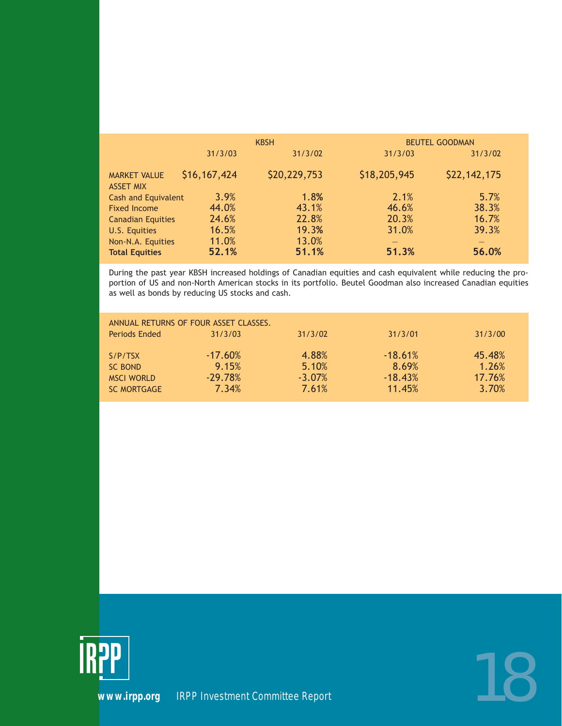|                                                 |                | <b>KBSH</b>    |                | <b>BEUTEL GOODMAN</b> |
|-------------------------------------------------|----------------|----------------|----------------|-----------------------|
|                                                 | 31/3/03        | 31/3/02        | 31/3/03        | 31/3/02               |
| <b>MARKET VALUE</b><br><b>ASSET MIX</b>         | \$16,167,424   | \$20,229,753   | \$18,205,945   | \$22,142,175          |
| <b>Cash and Equivalent</b>                      | 3.9%           | 1.8%           | 2.1%           | 5.7%                  |
| <b>Fixed Income</b><br><b>Canadian Equities</b> | 44.0%<br>24.6% | 43.1%<br>22.8% | 46.6%<br>20.3% | 38.3%<br>16.7%        |
| U.S. Equities                                   | 16.5%          | 19.3%          | 31.0%          | 39.3%                 |
| Non-N.A. Equities<br><b>Total Equities</b>      | 11.0%<br>52.1% | 13.0%<br>51.1% | 51.3%          | 56.0%                 |

During the past year KBSH increased holdings of Canadian equities and cash equivalent while reducing the proportion of US and non-North American stocks in its portfolio. Beutel Goodman also increased Canadian equities as well as bonds by reducing US stocks and cash.

| ANNUAL RETURNS OF FOUR ASSET CLASSES. |           |           |           |         |  |
|---------------------------------------|-----------|-----------|-----------|---------|--|
| Periods Ended                         | 31/3/03   | 31/3/02   | 31/3/01   | 31/3/00 |  |
| S/P/TSX                               | $-17.60%$ | 4.88%     | $-18.61%$ | 45.48%  |  |
| SC BOND                               | 9.15%     | 5.10%     | 8.69%     | 1.26%   |  |
| <b>MSCI WORLD</b>                     | $-29.78%$ | $-3.07\%$ | $-18.43%$ | 17.76%  |  |
| <b>SC MORTGAGE</b>                    | 7.34%     | 7.61%     | 11.45%    | 3.70%   |  |



*[www.irpp.org](http://www.irpp.org) IRPP Investment Committee Report* 18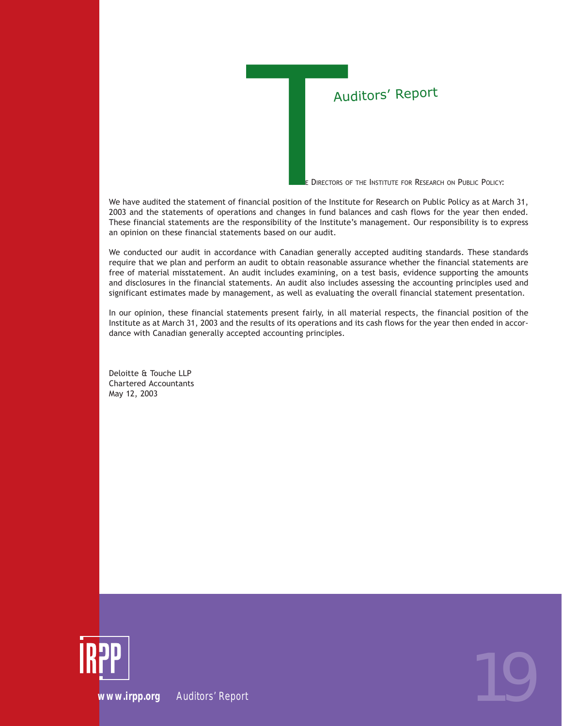O THE DIRECTORS OF THE INSTITUTE FOR RESEARCH ON PUBLIC POLICY:

We have audited the statement of financial position of the Institute for Research on Public Policy as at March 31, 2003 and the statements of operations and changes in fund balances and cash flows for the year then ended. These financial statements are the responsibility of the Institute's management. Our responsibility is to express an opinion on these financial statements based on our audit. Auditors' Report<br>
• THE DIRECTORS OF THE INSTITUTE FOR RESEAR<br>
• O THE DIRECTORS OF THE INSTITUTE FOR RESEAR<br>
• And changes in fund balances and cash flows for<br>
pasonsibility of the Institute's management. Our re

We conducted our audit in accordance with Canadian generally accepted auditing standards. These standards require that we plan and perform an audit to obtain reasonable assurance whether the financial statements are free of material misstatement. An audit includes examining, on a test basis, evidence supporting the amounts and disclosures in the financial statements. An audit also includes assessing the accounting principles used and significant estimates made by management, as well as evaluating the overall financial statement presentation.

In our opinion, these financial statements present fairly, in all material respects, the financial position of the Institute as at March 31, 2003 and the results of its operations and its cash flows for the year then ended in accordance with Canadian generally accepted accounting principles.

Deloitte & Touche LLP Chartered Accountants May 12, 2003

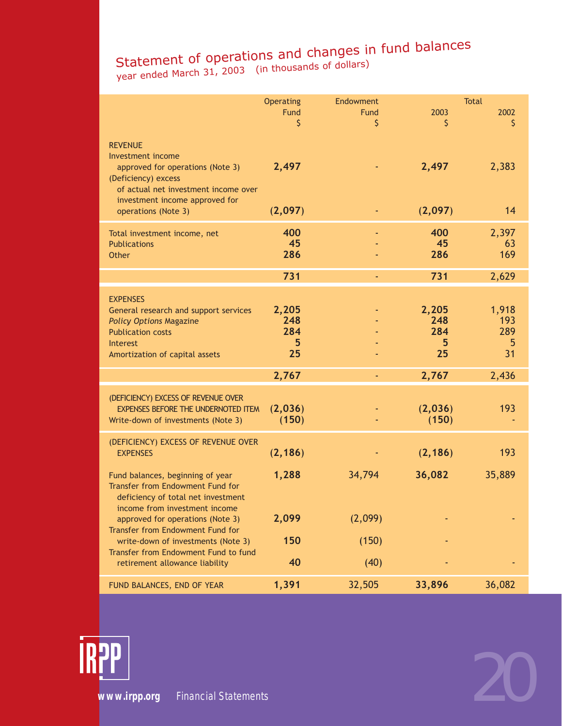### Statement of operations and changes in fund balances Staternent of operation<br>year ended March 31, 2003 (in thousands of dollars)

|                                                                                                                                                                             | Operating<br>Fund<br>\$        | Endowment<br><b>Fund</b><br>\$ | 2003<br>\$                     | <b>Total</b><br>2002<br>\$     |  |
|-----------------------------------------------------------------------------------------------------------------------------------------------------------------------------|--------------------------------|--------------------------------|--------------------------------|--------------------------------|--|
| <b>REVENUE</b><br>Investment income<br>approved for operations (Note 3)<br>(Deficiency) excess<br>of actual net investment income over<br>investment income approved for    | 2,497                          |                                | 2,497                          | 2,383                          |  |
| operations (Note 3)                                                                                                                                                         | (2,097)                        |                                | (2,097)                        | 14                             |  |
| Total investment income, net<br><b>Publications</b><br>Other                                                                                                                | 400<br>45<br>286               |                                | 400<br>45<br>286               | 2,397<br>63<br>169             |  |
|                                                                                                                                                                             | 731                            | ÷                              | 731                            | 2,629                          |  |
| <b>EXPENSES</b><br>General research and support services<br><b>Policy Options Magazine</b><br><b>Publication costs</b><br><b>Interest</b><br>Amortization of capital assets | 2,205<br>248<br>284<br>5<br>25 |                                | 2,205<br>248<br>284<br>5<br>25 | 1,918<br>193<br>289<br>5<br>31 |  |
|                                                                                                                                                                             | 2,767                          | ÷                              | 2,767                          | 2,436                          |  |
| (DEFICIENCY) EXCESS OF REVENUE OVER<br><b>EXPENSES BEFORE THE UNDERNOTED ITEM</b><br>Write-down of investments (Note 3)                                                     | (2,036)<br>(150)               |                                | (2,036)<br>(150)               | 193                            |  |
| (DEFICIENCY) EXCESS OF REVENUE OVER<br><b>EXPENSES</b>                                                                                                                      | (2, 186)                       |                                | (2, 186)                       | 193                            |  |
| Fund balances, beginning of year<br>Transfer from Endowment Fund for<br>deficiency of total net investment<br>income from investment income                                 | 1,288                          | 34,794                         | 36,082                         | 35,889                         |  |
| approved for operations (Note 3)<br>Transfer from Endowment Fund for                                                                                                        | 2,099                          | (2,099)                        |                                |                                |  |
| write-down of investments (Note 3)                                                                                                                                          | 150                            | (150)                          |                                |                                |  |
| Transfer from Endowment Fund to fund<br>retirement allowance liability                                                                                                      | 40                             | (40)                           |                                |                                |  |
| FUND BALANCES, END OF YEAR                                                                                                                                                  | 1,391                          | 32,505                         | 33,896                         | 36,082                         |  |

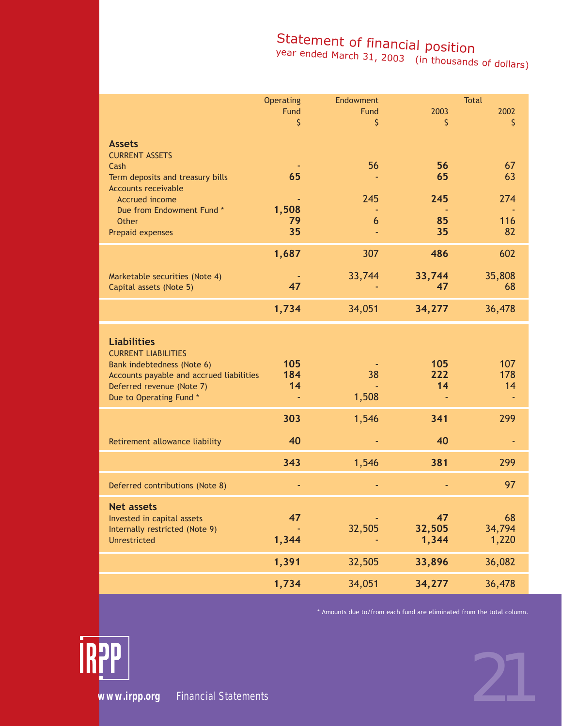### Statement of financial position

year ended March 31, 2003 (in thousands of dollars)

|                                                                                                                                                                                    | <b>Operating</b><br>Fund<br>\$ | Endowment<br>Fund<br>\$ | 2003<br>\$            | <b>Total</b><br>2002<br>\$ |  |
|------------------------------------------------------------------------------------------------------------------------------------------------------------------------------------|--------------------------------|-------------------------|-----------------------|----------------------------|--|
| <b>Assets</b><br><b>CURRENT ASSETS</b><br>Cash<br>Term deposits and treasury bills<br><b>Accounts receivable</b><br><b>Accrued income</b>                                          | 65                             | 56<br>245               | 56<br>65<br>245       | 67<br>63<br>274            |  |
| Due from Endowment Fund *<br><b>Other</b><br>Prepaid expenses                                                                                                                      | 1,508<br>79<br>35              | 6                       | 85<br>35              | 116<br>82                  |  |
| Marketable securities (Note 4)<br>Capital assets (Note 5)                                                                                                                          | 1,687<br>47                    | 307<br>33,744           | 486<br>33,744<br>47   | 602<br>35,808<br>68        |  |
|                                                                                                                                                                                    | 1,734                          | 34,051                  | 34,277                | 36,478                     |  |
| <b>Liabilities</b><br><b>CURRENT LIABILITIES</b><br>Bank indebtedness (Note 6)<br>Accounts payable and accrued liabilities<br>Deferred revenue (Note 7)<br>Due to Operating Fund * | 105<br>184<br>14               | 38<br>1,508             | 105<br>222<br>14      | 107<br>178<br>14           |  |
| Retirement allowance liability                                                                                                                                                     | 303<br>40                      | 1,546<br>٠              | 341<br>40             | 299                        |  |
| Deferred contributions (Note 8)                                                                                                                                                    | 343                            | 1,546                   | 381                   | 299<br>97                  |  |
| <b>Net assets</b><br>Invested in capital assets<br>Internally restricted (Note 9)<br>Unrestricted                                                                                  | 47<br>1,344                    | 32,505                  | 47<br>32,505<br>1,344 | 68<br>34,794<br>1,220      |  |
|                                                                                                                                                                                    | 1,391                          | 32,505                  | 33,896                | 36,082                     |  |
|                                                                                                                                                                                    | 1,734                          | 34,051                  | 34,277                | 36,478                     |  |

\* Amounts due to/from each fund are eliminated from the total column.

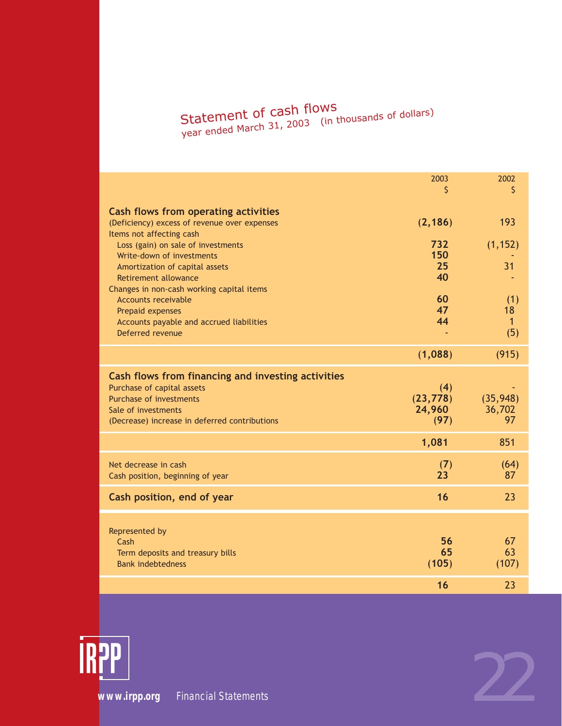# Statement of cash flows<br><sub>year ended March 31, 2003</sub> (in thousands of dollars)

|                                                                                                                                                                                            | 2003<br>Ś                          | 2002<br>\$                       |
|--------------------------------------------------------------------------------------------------------------------------------------------------------------------------------------------|------------------------------------|----------------------------------|
| Cash flows from operating activities<br>(Deficiency) excess of revenue over expenses<br>Items not affecting cash                                                                           | (2, 186)                           | 193                              |
| Loss (gain) on sale of investments<br>Write-down of investments                                                                                                                            | 732<br>150<br>25                   | (1, 152)<br>31                   |
| Amortization of capital assets<br><b>Retirement allowance</b><br>Changes in non-cash working capital items                                                                                 | 40                                 |                                  |
| <b>Accounts receivable</b><br>Prepaid expenses<br>Accounts payable and accrued liabilities<br>Deferred revenue                                                                             | 60<br>47<br>44                     | (1)<br>18<br>$\mathbf{1}$<br>(5) |
|                                                                                                                                                                                            | (1,088)                            | (915)                            |
| Cash flows from financing and investing activities<br>Purchase of capital assets<br><b>Purchase of investments</b><br>Sale of investments<br>(Decrease) increase in deferred contributions | (4)<br>(23, 778)<br>24,960<br>(97) | (35, 948)<br>36,702<br>97        |
|                                                                                                                                                                                            | 1,081                              | 851                              |
| Net decrease in cash<br>Cash position, beginning of year                                                                                                                                   | (7)<br>23                          | (64)<br>87                       |
| Cash position, end of year                                                                                                                                                                 | 16                                 | 23                               |
| Represented by<br>Cash<br>Term deposits and treasury bills<br><b>Bank indebtedness</b>                                                                                                     | 56<br>65<br>(105)                  | 67<br>63<br>(107)                |
|                                                                                                                                                                                            | 16                                 | 23                               |

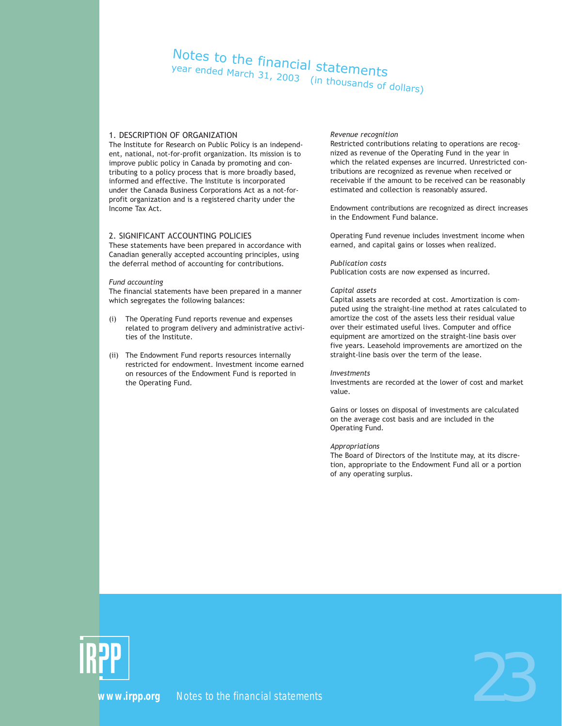# Notes to the financial statements year ended March 31, 2003 (in thousands of dollars)

### 1. DESCRIPTION OF ORGANIZATION

The Institute for Research on Public Policy is an independent, national, not-for-profit organization. Its mission is to improve public policy in Canada by promoting and contributing to a policy process that is more broadly based, informed and effective. The Institute is incorporated under the Canada Business Corporations Act as a not-forprofit organization and is a registered charity under the Income Tax Act.

### 2. SIGNIFICANT ACCOUNTING POLICIES

These statements have been prepared in accordance with Canadian generally accepted accounting principles, using the deferral method of accounting for contributions.

#### *Fund accounting*

The financial statements have been prepared in a manner which segregates the following balances:

- (i) The Operating Fund reports revenue and expenses related to program delivery and administrative activities of the Institute.
- (ii) The Endowment Fund reports resources internally restricted for endowment. Investment income earned on resources of the Endowment Fund is reported in the Operating Fund.

#### *Revenue recognition*

Restricted contributions relating to operations are recognized as revenue of the Operating Fund in the year in which the related expenses are incurred. Unrestricted contributions are recognized as revenue when received or receivable if the amount to be received can be reasonably estimated and collection is reasonably assured.

Endowment contributions are recognized as direct increases in the Endowment Fund balance.

Operating Fund revenue includes investment income when earned, and capital gains or losses when realized.

#### *Publication costs*

Publication costs are now expensed as incurred.

#### *Capital assets*

Capital assets are recorded at cost. Amortization is computed using the straight-line method at rates calculated to amortize the cost of the assets less their residual value over their estimated useful lives. Computer and office equipment are amortized on the straight-line basis over five years. Leasehold improvements are amortized on the straight-line basis over the term of the lease.

#### *Investments*

Investments are recorded at the lower of cost and market value.

Gains or losses on disposal of investments are calculated on the average cost basis and are included in the Operating Fund.

#### *Appropriations*

The Board of Directors of the Institute may, at its discretion, appropriate to the Endowment Fund all or a portion of any operating surplus.



**PP**<br>[www.irpp.org](http://www.irpp.org)  Notes to the financial statements<br>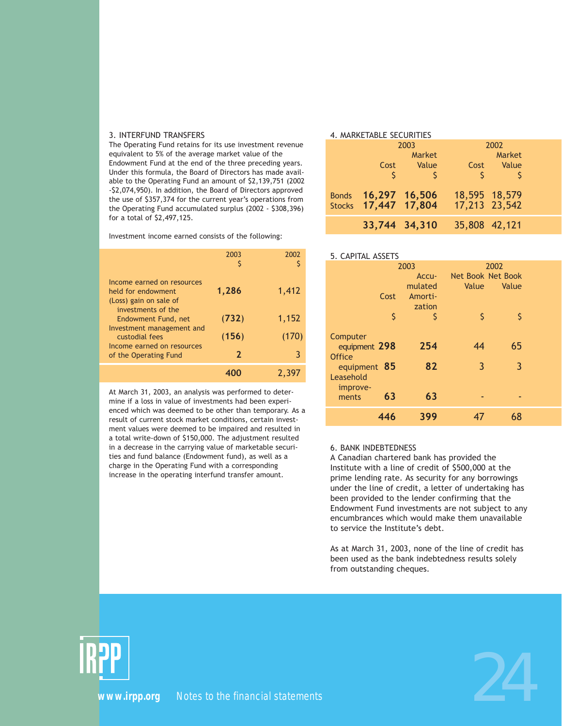#### 3. INTERFUND TRANSFERS

The Operating Fund retains for its use investment revenue equivalent to 5% of the average market value of the Endowment Fund at the end of the three preceding years. Under this formula, the Board of Directors has made available to the Operating Fund an amount of \$2,139,751 (2002 -\$2,074,950). In addition, the Board of Directors approved the use of \$357,374 for the current year's operations from the Operating Fund accumulated surplus (2002 - \$308,396) for a total of \$2,497,125.

Investment income earned consists of the following:

|                                                                                                  | 2003         | 2002  |
|--------------------------------------------------------------------------------------------------|--------------|-------|
| Income earned on resources<br>held for endowment<br>(Loss) gain on sale of<br>investments of the | 1,286        | 1,412 |
| Endowment Fund, net                                                                              | (732)        | 1,152 |
| Investment management and<br>custodial fees<br>Income earned on resources                        | (156)        | (170) |
| of the Operating Fund                                                                            | $\mathbf{z}$ | 3     |
|                                                                                                  |              | 2.397 |

At March 31, 2003, an analysis was performed to determine if a loss in value of investments had been experienced which was deemed to be other than temporary. As a result of current stock market conditions, certain investment values were deemed to be impaired and resulted in a total write-down of \$150,000. The adjustment resulted in a decrease in the carrying value of marketable securities and fund balance (Endowment fund), as well as a charge in the Operating Fund with a corresponding increase in the operating interfund transfer amount.

### 4. MARKETABLE SECURITIES

| 2003                                        |              | 2002          |                                |  |
|---------------------------------------------|--------------|---------------|--------------------------------|--|
|                                             | Market       |               | Market                         |  |
| Cost                                        | <b>Value</b> |               | Cost Value                     |  |
| Ŝ                                           |              | $\mathcal{S}$ |                                |  |
| Bonds 16,297 16,506<br>Stocks 17,447 17,804 |              |               | 18,595 18,579<br>17,213 23,542 |  |
| 33,744 34,310                               |              | 35,808 42,121 |                                |  |

### 5. CAPITAL ASSETS

|                                                                                     | 2003      | 2002              |         |  |
|-------------------------------------------------------------------------------------|-----------|-------------------|---------|--|
|                                                                                     | Accu-     | Net Book Net Book |         |  |
|                                                                                     | mulated   | Value             | Value   |  |
| Cost                                                                                | Amorti-   |                   |         |  |
|                                                                                     | zation    |                   |         |  |
| \$                                                                                  | Ś         | Ś                 | \$      |  |
| Computer<br>equipment 298<br><b>Office</b><br>equipment 85<br>Leasehold<br>improve- | 254<br>82 | 44<br>3           | 65<br>3 |  |
| 63<br>ments                                                                         | 63        |                   |         |  |
| 446                                                                                 | 399       |                   | 68      |  |

### 6. BANK INDEBTEDNESS

A Canadian chartered bank has provided the Institute with a line of credit of \$500,000 at the prime lending rate. As security for any borrowings under the line of credit, a letter of undertaking has been provided to the lender confirming that the Endowment Fund investments are not subject to any encumbrances which would make them unavailable to service the Institute's debt.

As at March 31, 2003, none of the line of credit has been used as the bank indebtedness results solely from outstanding cheques.



**PP**<br>[www.irpp.org](http://www.irpp.org)  Notes to the financial statements<br>